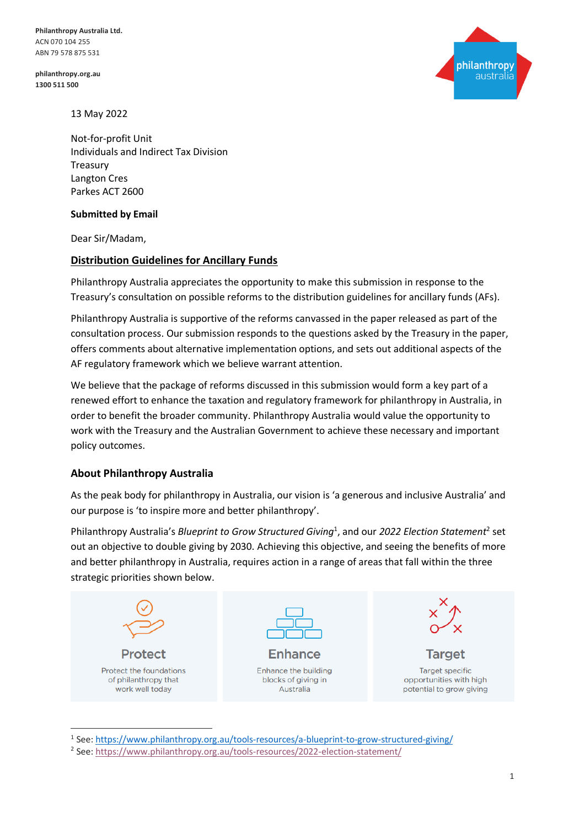**philanthropy.org.au 1300 511 500**



13 May 2022

Not-for-profit Unit Individuals and Indirect Tax Division Treasury Langton Cres Parkes ACT 2600

#### **Submitted by Email**

Dear Sir/Madam,

#### **Distribution Guidelines for Ancillary Funds**

Philanthropy Australia appreciates the opportunity to make this submission in response to the Treasury's consultation on possible reforms to the distribution guidelines for ancillary funds (AFs).

Philanthropy Australia is supportive of the reforms canvassed in the paper released as part of the consultation process. Our submission responds to the questions asked by the Treasury in the paper, offers comments about alternative implementation options, and sets out additional aspects of the AF regulatory framework which we believe warrant attention.

We believe that the package of reforms discussed in this submission would form a key part of a renewed effort to enhance the taxation and regulatory framework for philanthropy in Australia, in order to benefit the broader community. Philanthropy Australia would value the opportunity to work with the Treasury and the Australian Government to achieve these necessary and important policy outcomes.

#### **About Philanthropy Australia**

As the peak body for philanthropy in Australia, our vision is 'a generous and inclusive Australia' and our purpose is 'to inspire more and better philanthropy'.

Philanthropy Australia's *Blueprint to Grow Structured Giving*<sup>1</sup> , and our *2022 Election Statement*<sup>2</sup> set out an objective to double giving by 2030. Achieving this objective, and seeing the benefits of more and better philanthropy in Australia, requires action in a range of areas that fall within the three strategic priorities shown below.



<sup>&</sup>lt;sup>1</sup> See[: https://www.philanthropy.org.au/tools-resources/a-blueprint-to-grow-structured-giving/](https://www.philanthropy.org.au/tools-resources/a-blueprint-to-grow-structured-giving/)

<sup>2</sup> See[: https://www.philanthropy.org.au/tools-resources/2022-election-statement/](https://www.philanthropy.org.au/tools-resources/2022-election-statement/)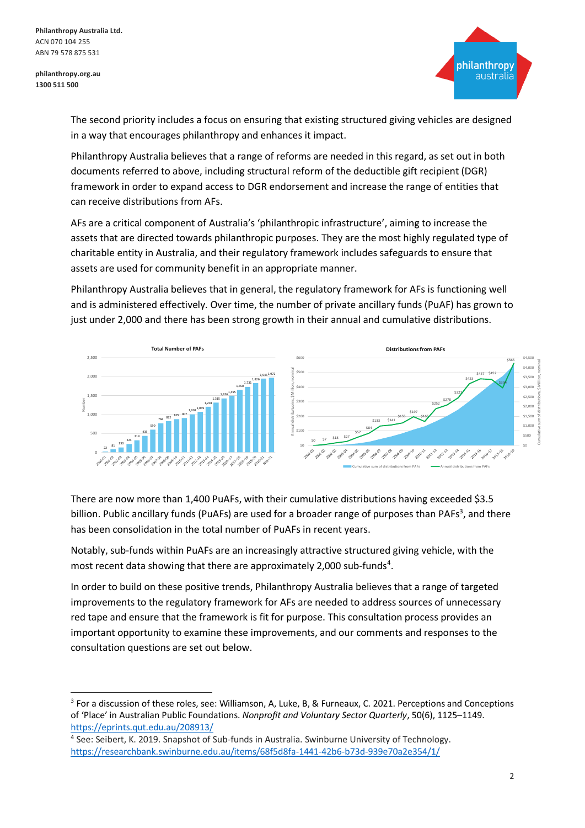

The second priority includes a focus on ensuring that existing structured giving vehicles are designed in a way that encourages philanthropy and enhances it impact.

Philanthropy Australia believes that a range of reforms are needed in this regard, as set out in both documents referred to above, including structural reform of the deductible gift recipient (DGR) framework in order to expand access to DGR endorsement and increase the range of entities that can receive distributions from AFs.

AFs are a critical component of Australia's 'philanthropic infrastructure', aiming to increase the assets that are directed towards philanthropic purposes. They are the most highly regulated type of charitable entity in Australia, and their regulatory framework includes safeguards to ensure that assets are used for community benefit in an appropriate manner.

Philanthropy Australia believes that in general, the regulatory framework for AFs is functioning well and is administered effectively. Over time, the number of private ancillary funds (PuAF) has grown to just under 2,000 and there has been strong growth in their annual and cumulative distributions.





There are now more than 1,400 PuAFs, with their cumulative distributions having exceeded \$3.5 billion. Public ancillary funds (PuAFs) are used for a broader range of purposes than PAFs<sup>3</sup>, and there has been consolidation in the total number of PuAFs in recent years.

Notably, sub-funds within PuAFs are an increasingly attractive structured giving vehicle, with the most recent data showing that there are approximately 2,000 sub-funds<sup>4</sup>.

In order to build on these positive trends, Philanthropy Australia believes that a range of targeted improvements to the regulatory framework for AFs are needed to address sources of unnecessary red tape and ensure that the framework is fit for purpose. This consultation process provides an important opportunity to examine these improvements, and our comments and responses to the consultation questions are set out below.

<sup>&</sup>lt;sup>3</sup> For a discussion of these roles, see: Williamson, A, Luke, B, & Furneaux, C. 2021. Perceptions and Conceptions of 'Place' in Australian Public Foundations. *Nonprofit and Voluntary Sector Quarterly*, 50(6), 1125–1149. <https://eprints.qut.edu.au/208913/>

<sup>4</sup> See: Seibert, K. 2019. Snapshot of Sub-funds in Australia. Swinburne University of Technology. <https://researchbank.swinburne.edu.au/items/68f5d8fa-1441-42b6-b73d-939e70a2e354/1/>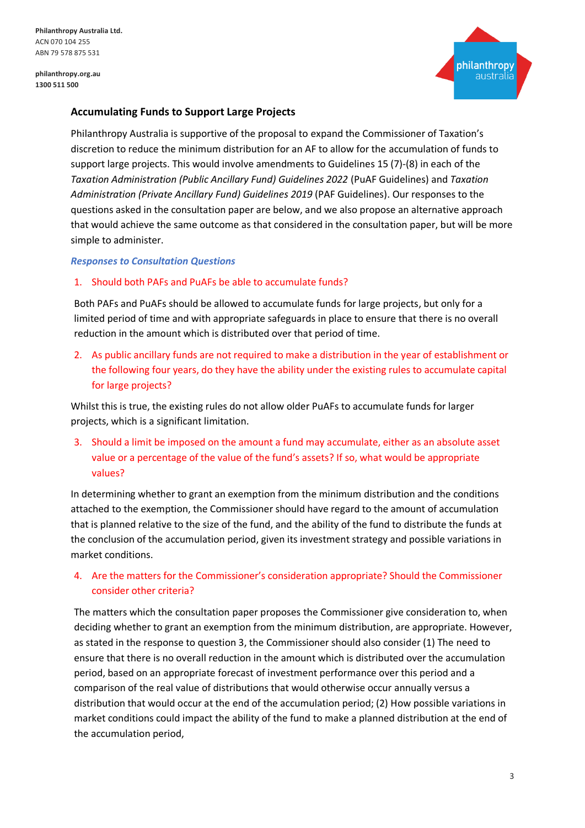

# **Accumulating Funds to Support Large Projects**

Philanthropy Australia is supportive of the proposal to expand the Commissioner of Taxation's discretion to reduce the minimum distribution for an AF to allow for the accumulation of funds to support large projects. This would involve amendments to Guidelines 15 (7)-(8) in each of the *Taxation Administration (Public Ancillary Fund) Guidelines 2022* (PuAF Guidelines) and *Taxation Administration (Private Ancillary Fund) Guidelines 2019* (PAF Guidelines). Our responses to the questions asked in the consultation paper are below, and we also propose an alternative approach that would achieve the same outcome as that considered in the consultation paper, but will be more simple to administer.

#### *Responses to Consultation Questions*

#### 1. Should both PAFs and PuAFs be able to accumulate funds?

Both PAFs and PuAFs should be allowed to accumulate funds for large projects, but only for a limited period of time and with appropriate safeguards in place to ensure that there is no overall reduction in the amount which is distributed over that period of time.

2. As public ancillary funds are not required to make a distribution in the year of establishment or the following four years, do they have the ability under the existing rules to accumulate capital for large projects?

Whilst this is true, the existing rules do not allow older PuAFs to accumulate funds for larger projects, which is a significant limitation.

3. Should a limit be imposed on the amount a fund may accumulate, either as an absolute asset value or a percentage of the value of the fund's assets? If so, what would be appropriate values?

In determining whether to grant an exemption from the minimum distribution and the conditions attached to the exemption, the Commissioner should have regard to the amount of accumulation that is planned relative to the size of the fund, and the ability of the fund to distribute the funds at the conclusion of the accumulation period, given its investment strategy and possible variations in market conditions.

# 4. Are the matters for the Commissioner's consideration appropriate? Should the Commissioner consider other criteria?

The matters which the consultation paper proposes the Commissioner give consideration to, when deciding whether to grant an exemption from the minimum distribution, are appropriate. However, as stated in the response to question 3, the Commissioner should also consider (1) The need to ensure that there is no overall reduction in the amount which is distributed over the accumulation period, based on an appropriate forecast of investment performance over this period and a comparison of the real value of distributions that would otherwise occur annually versus a distribution that would occur at the end of the accumulation period; (2) How possible variations in market conditions could impact the ability of the fund to make a planned distribution at the end of the accumulation period,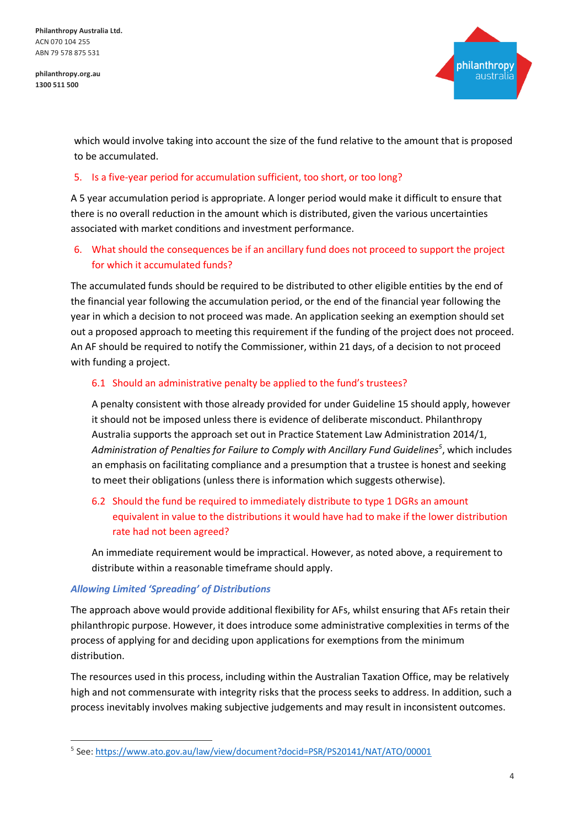**philanthropy.org.au 1300 511 500**



which would involve taking into account the size of the fund relative to the amount that is proposed to be accumulated.

#### 5. Is a five-year period for accumulation sufficient, too short, or too long?

A 5 year accumulation period is appropriate. A longer period would make it difficult to ensure that there is no overall reduction in the amount which is distributed, given the various uncertainties associated with market conditions and investment performance.

# 6. What should the consequences be if an ancillary fund does not proceed to support the project for which it accumulated funds?

The accumulated funds should be required to be distributed to other eligible entities by the end of the financial year following the accumulation period, or the end of the financial year following the year in which a decision to not proceed was made. An application seeking an exemption should set out a proposed approach to meeting this requirement if the funding of the project does not proceed. An AF should be required to notify the Commissioner, within 21 days, of a decision to not proceed with funding a project.

## 6.1 Should an administrative penalty be applied to the fund's trustees?

A penalty consistent with those already provided for under Guideline 15 should apply, however it should not be imposed unless there is evidence of deliberate misconduct. Philanthropy Australia supports the approach set out in Practice Statement Law Administration 2014/1, *Administration of Penalties for Failure to Comply with Ancillary Fund Guidelines<sup>5</sup>* , which includes an emphasis on facilitating compliance and a presumption that a trustee is honest and seeking to meet their obligations (unless there is information which suggests otherwise).

# 6.2 Should the fund be required to immediately distribute to type 1 DGRs an amount equivalent in value to the distributions it would have had to make if the lower distribution rate had not been agreed?

An immediate requirement would be impractical. However, as noted above, a requirement to distribute within a reasonable timeframe should apply.

## *Allowing Limited 'Spreading' of Distributions*

The approach above would provide additional flexibility for AFs, whilst ensuring that AFs retain their philanthropic purpose. However, it does introduce some administrative complexities in terms of the process of applying for and deciding upon applications for exemptions from the minimum distribution.

The resources used in this process, including within the Australian Taxation Office, may be relatively high and not commensurate with integrity risks that the process seeks to address. In addition, such a process inevitably involves making subjective judgements and may result in inconsistent outcomes.

<sup>5</sup> See[: https://www.ato.gov.au/law/view/document?docid=PSR/PS20141/NAT/ATO/00001](https://www.ato.gov.au/law/view/document?docid=PSR/PS20141/NAT/ATO/00001)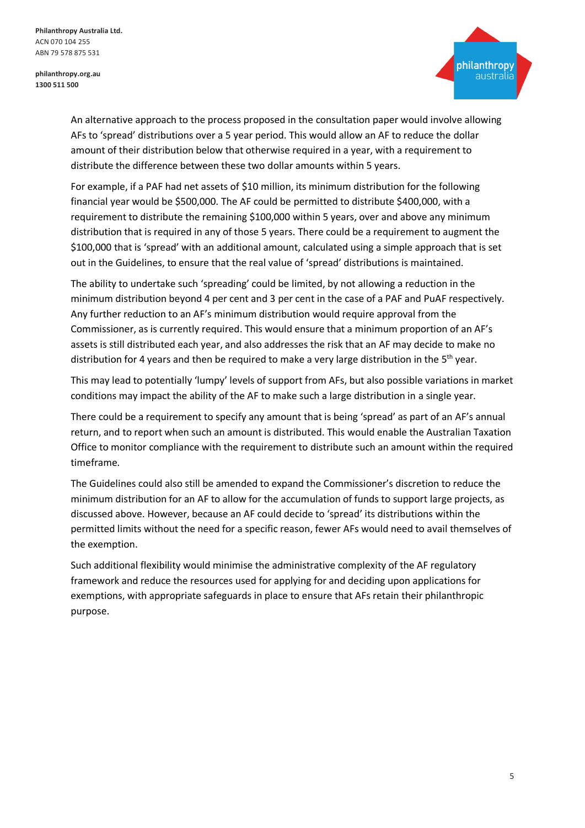

An alternative approach to the process proposed in the consultation paper would involve allowing AFs to 'spread' distributions over a 5 year period. This would allow an AF to reduce the dollar amount of their distribution below that otherwise required in a year, with a requirement to distribute the difference between these two dollar amounts within 5 years.

For example, if a PAF had net assets of \$10 million, its minimum distribution for the following financial year would be \$500,000. The AF could be permitted to distribute \$400,000, with a requirement to distribute the remaining \$100,000 within 5 years, over and above any minimum distribution that is required in any of those 5 years. There could be a requirement to augment the \$100,000 that is 'spread' with an additional amount, calculated using a simple approach that is set out in the Guidelines, to ensure that the real value of 'spread' distributions is maintained.

The ability to undertake such 'spreading' could be limited, by not allowing a reduction in the minimum distribution beyond 4 per cent and 3 per cent in the case of a PAF and PuAF respectively. Any further reduction to an AF's minimum distribution would require approval from the Commissioner, as is currently required. This would ensure that a minimum proportion of an AF's assets is still distributed each year, and also addresses the risk that an AF may decide to make no distribution for 4 years and then be required to make a very large distribution in the 5<sup>th</sup> year.

This may lead to potentially 'lumpy' levels of support from AFs, but also possible variations in market conditions may impact the ability of the AF to make such a large distribution in a single year.

There could be a requirement to specify any amount that is being 'spread' as part of an AF's annual return, and to report when such an amount is distributed. This would enable the Australian Taxation Office to monitor compliance with the requirement to distribute such an amount within the required timeframe.

The Guidelines could also still be amended to expand the Commissioner's discretion to reduce the minimum distribution for an AF to allow for the accumulation of funds to support large projects, as discussed above. However, because an AF could decide to 'spread' its distributions within the permitted limits without the need for a specific reason, fewer AFs would need to avail themselves of the exemption.

Such additional flexibility would minimise the administrative complexity of the AF regulatory framework and reduce the resources used for applying for and deciding upon applications for exemptions, with appropriate safeguards in place to ensure that AFs retain their philanthropic purpose.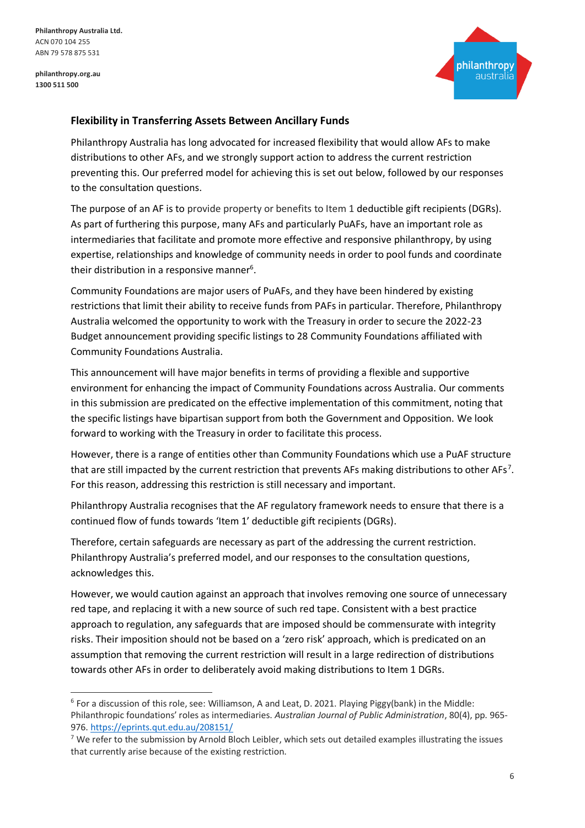**philanthropy.org.au 1300 511 500**



## **Flexibility in Transferring Assets Between Ancillary Funds**

Philanthropy Australia has long advocated for increased flexibility that would allow AFs to make distributions to other AFs, and we strongly support action to address the current restriction preventing this. Our preferred model for achieving this is set out below, followed by our responses to the consultation questions.

The purpose of an AF is to provide property or benefits to Item 1 deductible gift recipients (DGRs). As part of furthering this purpose, many AFs and particularly PuAFs, have an important role as intermediaries that facilitate and promote more effective and responsive philanthropy, by using expertise, relationships and knowledge of community needs in order to pool funds and coordinate their distribution in a responsive manner<sup>6</sup>.

Community Foundations are major users of PuAFs, and they have been hindered by existing restrictions that limit their ability to receive funds from PAFs in particular. Therefore, Philanthropy Australia welcomed the opportunity to work with the Treasury in order to secure the 2022-23 Budget announcement providing specific listings to 28 Community Foundations affiliated with Community Foundations Australia.

This announcement will have major benefits in terms of providing a flexible and supportive environment for enhancing the impact of Community Foundations across Australia. Our comments in this submission are predicated on the effective implementation of this commitment, noting that the specific listings have bipartisan support from both the Government and Opposition. We look forward to working with the Treasury in order to facilitate this process.

However, there is a range of entities other than Community Foundations which use a PuAF structure that are still impacted by the current restriction that prevents AFs making distributions to other AFs<sup>7</sup>. For this reason, addressing this restriction is still necessary and important.

Philanthropy Australia recognises that the AF regulatory framework needs to ensure that there is a continued flow of funds towards 'Item 1' deductible gift recipients (DGRs).

Therefore, certain safeguards are necessary as part of the addressing the current restriction. Philanthropy Australia's preferred model, and our responses to the consultation questions, acknowledges this.

However, we would caution against an approach that involves removing one source of unnecessary red tape, and replacing it with a new source of such red tape. Consistent with a best practice approach to regulation, any safeguards that are imposed should be commensurate with integrity risks. Their imposition should not be based on a 'zero risk' approach, which is predicated on an assumption that removing the current restriction will result in a large redirection of distributions towards other AFs in order to deliberately avoid making distributions to Item 1 DGRs.

<sup>&</sup>lt;sup>6</sup> For a discussion of this role, see: Williamson, A and Leat, D. 2021. Playing Piggy(bank) in the Middle: Philanthropic foundations' roles as intermediaries. *Australian Journal of Public Administration*, 80(4), pp. 965- 976.<https://eprints.qut.edu.au/208151/>

 $7$  We refer to the submission by Arnold Bloch Leibler, which sets out detailed examples illustrating the issues that currently arise because of the existing restriction.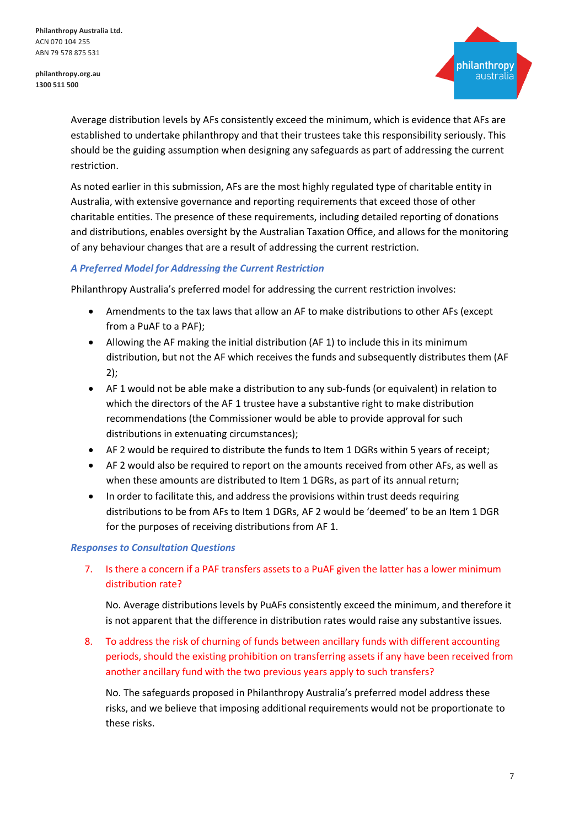**philanthropy.org.au 1300 511 500**



Average distribution levels by AFs consistently exceed the minimum, which is evidence that AFs are established to undertake philanthropy and that their trustees take this responsibility seriously. This should be the guiding assumption when designing any safeguards as part of addressing the current restriction.

As noted earlier in this submission, AFs are the most highly regulated type of charitable entity in Australia, with extensive governance and reporting requirements that exceed those of other charitable entities. The presence of these requirements, including detailed reporting of donations and distributions, enables oversight by the Australian Taxation Office, and allows for the monitoring of any behaviour changes that are a result of addressing the current restriction.

## *A Preferred Model for Addressing the Current Restriction*

Philanthropy Australia's preferred model for addressing the current restriction involves:

- Amendments to the tax laws that allow an AF to make distributions to other AFs (except from a PuAF to a PAF);
- Allowing the AF making the initial distribution (AF 1) to include this in its minimum distribution, but not the AF which receives the funds and subsequently distributes them (AF 2);
- AF 1 would not be able make a distribution to any sub-funds (or equivalent) in relation to which the directors of the AF 1 trustee have a substantive right to make distribution recommendations (the Commissioner would be able to provide approval for such distributions in extenuating circumstances);
- AF 2 would be required to distribute the funds to Item 1 DGRs within 5 years of receipt;
- AF 2 would also be required to report on the amounts received from other AFs, as well as when these amounts are distributed to Item 1 DGRs, as part of its annual return;
- In order to facilitate this, and address the provisions within trust deeds requiring distributions to be from AFs to Item 1 DGRs, AF 2 would be 'deemed' to be an Item 1 DGR for the purposes of receiving distributions from AF 1.

## *Responses to Consultation Questions*

7. Is there a concern if a PAF transfers assets to a PuAF given the latter has a lower minimum distribution rate?

No. Average distributions levels by PuAFs consistently exceed the minimum, and therefore it is not apparent that the difference in distribution rates would raise any substantive issues.

8. To address the risk of churning of funds between ancillary funds with different accounting periods, should the existing prohibition on transferring assets if any have been received from another ancillary fund with the two previous years apply to such transfers?

No. The safeguards proposed in Philanthropy Australia's preferred model address these risks, and we believe that imposing additional requirements would not be proportionate to these risks.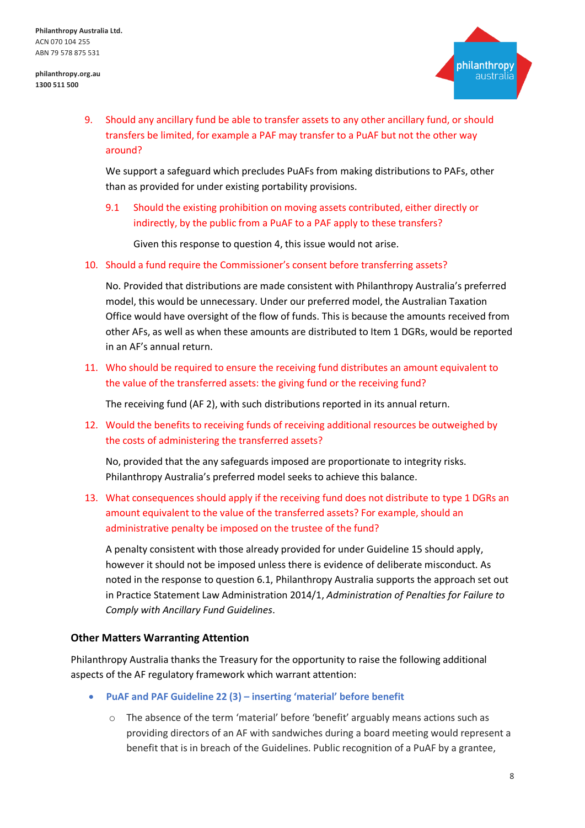

9. Should any ancillary fund be able to transfer assets to any other ancillary fund, or should transfers be limited, for example a PAF may transfer to a PuAF but not the other way around?

We support a safeguard which precludes PuAFs from making distributions to PAFs, other than as provided for under existing portability provisions.

9.1 Should the existing prohibition on moving assets contributed, either directly or indirectly, by the public from a PuAF to a PAF apply to these transfers?

Given this response to question 4, this issue would not arise.

10. Should a fund require the Commissioner's consent before transferring assets?

No. Provided that distributions are made consistent with Philanthropy Australia's preferred model, this would be unnecessary. Under our preferred model, the Australian Taxation Office would have oversight of the flow of funds. This is because the amounts received from other AFs, as well as when these amounts are distributed to Item 1 DGRs, would be reported in an AF's annual return.

11. Who should be required to ensure the receiving fund distributes an amount equivalent to the value of the transferred assets: the giving fund or the receiving fund?

The receiving fund (AF 2), with such distributions reported in its annual return.

12. Would the benefits to receiving funds of receiving additional resources be outweighed by the costs of administering the transferred assets?

No, provided that the any safeguards imposed are proportionate to integrity risks. Philanthropy Australia's preferred model seeks to achieve this balance.

13. What consequences should apply if the receiving fund does not distribute to type 1 DGRs an amount equivalent to the value of the transferred assets? For example, should an administrative penalty be imposed on the trustee of the fund?

A penalty consistent with those already provided for under Guideline 15 should apply, however it should not be imposed unless there is evidence of deliberate misconduct. As noted in the response to question 6.1, Philanthropy Australia supports the approach set out in Practice Statement Law Administration 2014/1, *Administration of Penalties for Failure to Comply with Ancillary Fund Guidelines*.

#### **Other Matters Warranting Attention**

Philanthropy Australia thanks the Treasury for the opportunity to raise the following additional aspects of the AF regulatory framework which warrant attention:

- **PuAF and PAF Guideline 22 (3) – inserting 'material' before benefit**
	- $\circ$  The absence of the term 'material' before 'benefit' arguably means actions such as providing directors of an AF with sandwiches during a board meeting would represent a benefit that is in breach of the Guidelines. Public recognition of a PuAF by a grantee,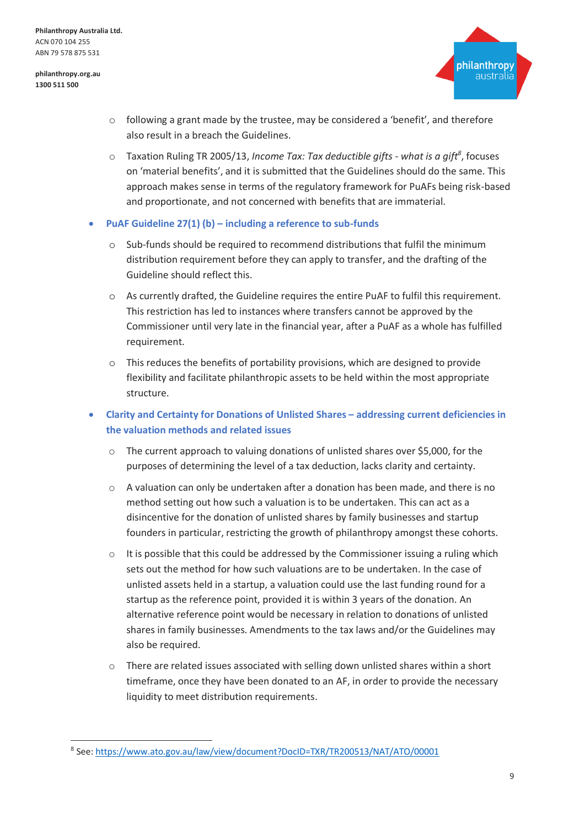

- $\circ$  following a grant made by the trustee, may be considered a 'benefit', and therefore also result in a breach the Guidelines.
- o Taxation Ruling TR 2005/13, *Income Tax: Tax deductible gifts - what is a gift<sup>8</sup>* , focuses on 'material benefits', and it is submitted that the Guidelines should do the same. This approach makes sense in terms of the regulatory framework for PuAFs being risk-based and proportionate, and not concerned with benefits that are immaterial.
- **PuAF Guideline 27(1) (b) – including a reference to sub-funds**
	- o Sub-funds should be required to recommend distributions that fulfil the minimum distribution requirement before they can apply to transfer, and the drafting of the Guideline should reflect this.
	- o As currently drafted, the Guideline requires the entire PuAF to fulfil this requirement. This restriction has led to instances where transfers cannot be approved by the Commissioner until very late in the financial year, after a PuAF as a whole has fulfilled requirement.
	- $\circ$  This reduces the benefits of portability provisions, which are designed to provide flexibility and facilitate philanthropic assets to be held within the most appropriate structure.
- **Clarity and Certainty for Donations of Unlisted Shares – addressing current deficiencies in the valuation methods and related issues**
	- o The current approach to valuing donations of unlisted shares over \$5,000, for the purposes of determining the level of a tax deduction, lacks clarity and certainty.
	- $\circ$  A valuation can only be undertaken after a donation has been made, and there is no method setting out how such a valuation is to be undertaken. This can act as a disincentive for the donation of unlisted shares by family businesses and startup founders in particular, restricting the growth of philanthropy amongst these cohorts.
	- $\circ$  It is possible that this could be addressed by the Commissioner issuing a ruling which sets out the method for how such valuations are to be undertaken. In the case of unlisted assets held in a startup, a valuation could use the last funding round for a startup as the reference point, provided it is within 3 years of the donation. An alternative reference point would be necessary in relation to donations of unlisted shares in family businesses. Amendments to the tax laws and/or the Guidelines may also be required.
	- o There are related issues associated with selling down unlisted shares within a short timeframe, once they have been donated to an AF, in order to provide the necessary liquidity to meet distribution requirements.

<sup>8</sup> See[: https://www.ato.gov.au/law/view/document?DocID=TXR/TR200513/NAT/ATO/00001](https://www.ato.gov.au/law/view/document?DocID=TXR/TR200513/NAT/ATO/00001)